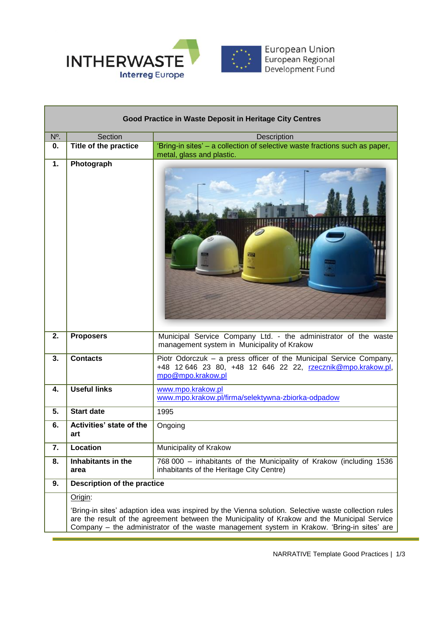

| Good Practice in Waste Deposit in Heritage City Centres |                                                                                                                                                                                                                                                                                                    |                                                                                                                                                        |
|---------------------------------------------------------|----------------------------------------------------------------------------------------------------------------------------------------------------------------------------------------------------------------------------------------------------------------------------------------------------|--------------------------------------------------------------------------------------------------------------------------------------------------------|
| N°.                                                     | Section                                                                                                                                                                                                                                                                                            | Description                                                                                                                                            |
| 0.                                                      | Title of the practice                                                                                                                                                                                                                                                                              | 'Bring-in sites' – a collection of selective waste fractions such as paper,<br>metal, glass and plastic.                                               |
| 1.                                                      | Photograph                                                                                                                                                                                                                                                                                         |                                                                                                                                                        |
| 2.                                                      | <b>Proposers</b>                                                                                                                                                                                                                                                                                   | Municipal Service Company Ltd. - the administrator of the waste<br>management system in Municipality of Krakow                                         |
| 3.                                                      | <b>Contacts</b>                                                                                                                                                                                                                                                                                    | Piotr Odorczuk - a press officer of the Municipal Service Company,<br>+48 12 646 23 80, +48 12 646 22 22, rzecznik@mpo.krakow.pl,<br>mpo@mpo.krakow.pl |
| 4.                                                      | <b>Useful links</b>                                                                                                                                                                                                                                                                                | www.mpo.krakow.pl<br>www.mpo.krakow.pl/firma/selektywna-zbiorka-odpadow                                                                                |
| 5.                                                      | <b>Start date</b>                                                                                                                                                                                                                                                                                  | 1995                                                                                                                                                   |
| 6.                                                      | Activities' state of the<br>art                                                                                                                                                                                                                                                                    | Ongoing                                                                                                                                                |
| 7.                                                      | Location                                                                                                                                                                                                                                                                                           | Municipality of Krakow                                                                                                                                 |
| 8.                                                      | Inhabitants in the<br>area                                                                                                                                                                                                                                                                         | 768 000 - inhabitants of the Municipality of Krakow (including 1536<br>inhabitants of the Heritage City Centre)                                        |
| 9.                                                      | Description of the practice                                                                                                                                                                                                                                                                        |                                                                                                                                                        |
|                                                         | Origin:                                                                                                                                                                                                                                                                                            |                                                                                                                                                        |
|                                                         | 'Bring-in sites' adaption idea was inspired by the Vienna solution. Selective waste collection rules<br>are the result of the agreement between the Municipality of Krakow and the Municipal Service<br>Company – the administrator of the waste management system in Krakow. 'Bring-in sites' are |                                                                                                                                                        |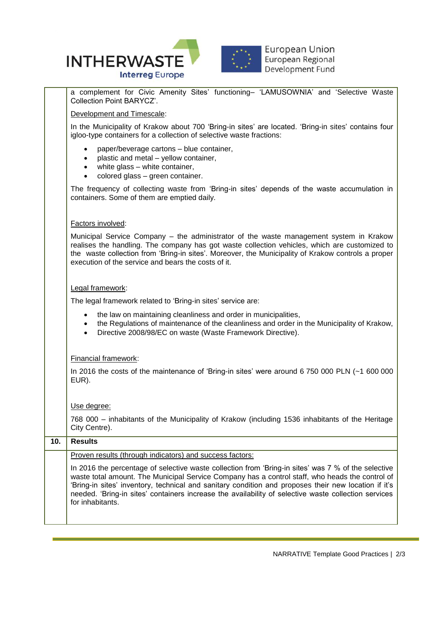

a complement for Civic Amenity Sites' functioning– 'LAMUSOWNIA' and 'Selective Waste Collection Point BARYCZ'. Development and Timescale:

In the Municipality of Krakow about 700 'Bring-in sites' are located. 'Bring-in sites' contains four igloo-type containers for a collection of selective waste fractions:

- paper/beverage cartons blue container,
- plastic and metal yellow container,
- white glass white container,
- colored glass green container.

The frequency of collecting waste from 'Bring-in sites' depends of the waste accumulation in containers. Some of them are emptied daily.

## Factors involved:

Municipal Service Company – the administrator of the waste management system in Krakow realises the handling. The company has got waste collection vehicles, which are customized to the waste collection from 'Bring-in sites'. Moreover, the Municipality of Krakow controls a proper execution of the service and bears the costs of it.

### Legal framework:

The legal framework related to 'Bring-in sites' service are:

- the law on maintaining cleanliness and order in municipalities,
- the Regulations of maintenance of the cleanliness and order in the Municipality of Krakow,
- Directive 2008/98/EC on waste (Waste Framework Directive).

## Financial framework:

In 2016 the costs of the maintenance of 'Bring-in sites' were around 6 750 000 PLN (~1 600 000 EUR).

## Use degree:

768 000 – inhabitants of the Municipality of Krakow (including 1536 inhabitants of the Heritage City Centre).

# **10. Results** Proven results (through indicators) and success factors: In 2016 the percentage of selective waste collection from 'Bring-in sites' was 7 % of the selective waste total amount. The Municipal Service Company has a control staff, who heads the control of 'Bring-in sites' inventory, technical and sanitary condition and proposes their new location if it's needed. 'Bring-in sites' containers increase the availability of selective waste collection services for inhabitants.